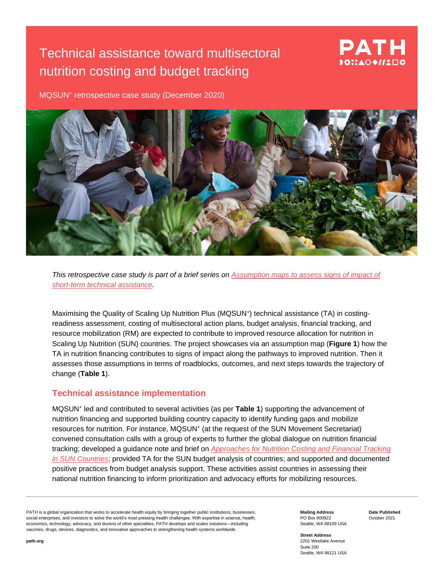# Technical assistance toward multisectoral nutrition costing and budget tracking

## PATH DOI:AOO//LED

MQSUN<sup>+</sup> retrospective case study (December 2020)



*This retrospective case study is part of a brief series on [Assumption maps to assess signs of](https://mqsunplus.path.org/resources/assumption-maps-to-assess-signs-of-impact-of-short-term-technical-assistance/) impact of [short-term technical assistance.](https://mqsunplus.path.org/resources/assumption-maps-to-assess-signs-of-impact-of-short-term-technical-assistance/)*

Maximising the Quality of Scaling Up Nutrition Plus (MQSUN<sup>+</sup>) technical assistance (TA) in costingreadiness assessment, costing of multisectoral action plans, budget analysis, financial tracking, and resource mobilization (RM) are expected to contribute to improved resource allocation for nutrition in Scaling Up Nutrition (SUN) countries. The project showcases via an assumption map (**Figure 1**) how the TA in nutrition financing contributes to signs of impact along the pathways to improved nutrition. Then it assesses those assumptions in terms of roadblocks, outcomes, and next steps towards the trajectory of change (**Table 1**).

### **Technical assistance implementation**

MQSUN<sup>+</sup> led and contributed to several activities (as per **Table 1**) supporting the advancement of nutrition financing and supported building country capacity to identify funding gaps and mobilize resources for nutrition. For instance, MQSUN<sup>+</sup> (at the request of the SUN Movement Secretariat) convened consultation calls with a group of experts to further the global dialogue on nutrition financial tracking; developed a guidance note and brief on *[Approaches for Nutrition Costing and Financial Tracking](https://mqsunplus.path.org/resources/approaches-for-nutrition-costing-and-financial-tracking-in-sun-countries/)  [in SUN Countries](https://mqsunplus.path.org/resources/approaches-for-nutrition-costing-and-financial-tracking-in-sun-countries/)*; provided TA for the SUN budget analysis of countries; and supported and documented positive practices from budget analysis support. These activities assist countries in assessing their national nutrition financing to inform prioritization and advocacy efforts for mobilizing resources.

PATH is a global organization that works to accelerate health equity by bringing together public institutions, businesses, social enterprises, and investors to solve the world's most pressing health challenges. With expertise in science, health, economics, technology, advocacy, and dozens of other specialties, PATH develops and scales solutions—including vaccines, drugs, devices, diagnostics, and innovative approaches to strengthening health systems worldwide.

**Mailing Address** PO Box 900922 Seattle, WA 98109 USA **Date Published** October 2021

**Street Address** 2201 Westlake Avenue Suite 200 Seattle, WA 98121 USA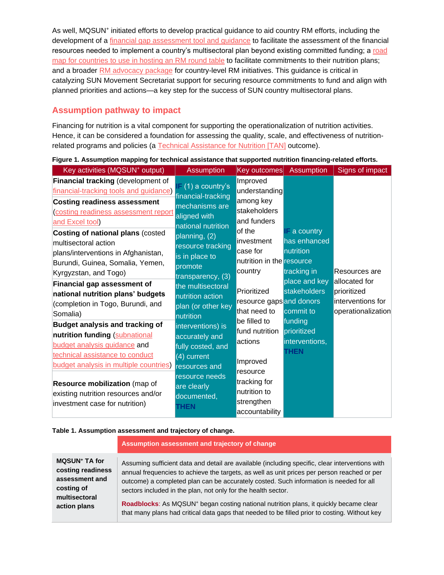As well, MQSUN<sup>+</sup> initiated efforts to develop practical guidance to aid country RM efforts, including the development of a [financial gap assessment tool and guidance](https://mqsunplus.path.org/resources/conducting-financial-gap-analysis-of-multisectoral-nutrition-plans/) to facilitate the assessment of the financial resources needed to implement a country's multisectoral plan beyond existing committed funding; a [road](https://mqsunplus.path.org/resources/organising-a-resource-mobilisation-roundtable-event-to-scale-up-nutrition-at-the-country-level/)  [map for countries to use in hosting an RM round table](https://mqsunplus.path.org/resources/organising-a-resource-mobilisation-roundtable-event-to-scale-up-nutrition-at-the-country-level/) to facilitate commitments to their nutrition plans; and a broader [RM advocacy package](https://mqsunplus.path.org/resources/developing-an-advocacy-strategy-in-support-of-a-multisectoral-approach-to-nutrition/) for country-level RM initiatives. This guidance is critical in catalyzing SUN Movement Secretariat support for securing resource commitments to fund and align with planned priorities and actions—a key step for the success of SUN country multisectoral plans.

## **Assumption pathway to impact**

Financing for nutrition is a vital component for supporting the operationalization of nutrition activities. Hence, it can be considered a foundation for assessing the quality, scale, and effectiveness of nutrition-related programs and policies (a [Technical Assistance for Nutrition \[TAN\]](https://mqsunplus.path.org/about-technical-assistance-for-nutrition-tan/) outcome).

**Figure 1. Assumption mapping for technical assistance that supported nutrition financing-related efforts.**

### **Table 1. Assumption assessment and trajectory of change.**

|                                 | Assumption assessment and trajectory of change                                                           |
|---------------------------------|----------------------------------------------------------------------------------------------------------|
| <b>MQSUN<sup>+</sup> TA for</b> | Assuming sufficient data and detail are available (including specific, clear interventions with          |
| costing readiness               | annual frequencies to achieve the targets, as well as unit prices per person reached or per              |
| assessment and                  | outcome) a completed plan can be accurately costed. Such information is needed for all                   |
| costing of                      | sectors included in the plan, not only for the health sector.                                            |
| multisectoral                   | <b>Roadblocks:</b> As MQSUN <sup>+</sup> began costing national nutrition plans, it quickly became clear |
| action plans                    | that many plans had critical data gaps that needed to be filled prior to costing. Without key            |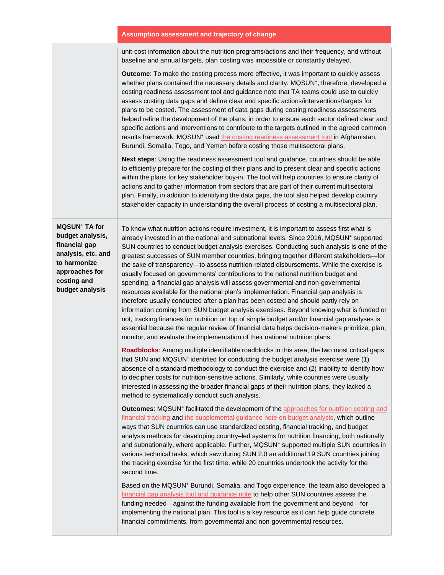#### **Assumption assessment and trajectory of change**

unit-cost information about the nutrition programs/actions and their frequency, and without baseline and annual targets, plan costing was impossible or constantly delayed.

**Outcome**: To make the costing process more effective, it was important to quickly assess whether plans contained the necessary details and clarity. MQSUN<sup>+</sup>, therefore, developed a costing readiness assessment tool and guidance note that TA teams could use to quickly assess costing data gaps and define clear and specific actions/interventions/targets for plans to be costed. The assessment of data gaps during costing readiness assessments helped refine the development of the plans, in order to ensure each sector defined clear and specific actions and interventions to contribute to the targets outlined in the agreed common results framework. MQSUN<sup>+</sup> used [the costing readiness assessment tool](https://mqsunplus.path.org/resources/assessing-readiness-for-costing-of-a-common-results-framework-or-national-nutrition-plan-guidance-note/) in Afghanistan, Burundi, Somalia, Togo, and Yemen before costing those multisectoral plans.

**Next steps**: Using the readiness assessment tool and guidance, countries should be able to efficiently prepare for the costing of their plans and to present clear and specific actions within the plans for key stakeholder buy-in. The tool will help countries to ensure clarity of actions and to gather information from sectors that are part of their current multisectoral plan. Finally, in addition to identifying the data gaps, the tool also helped develop country stakeholder capacity in understanding the overall process of costing a multisectoral plan.

**MQSUN<sup>+</sup> TA for budget analysis, financial gap analysis, etc. and to harmonize approaches for costing and budget analysis**

To know what nutrition actions require investment, it is important to assess first what is already invested in at the national and subnational levels. Since 2016, MQSUN<sup>+</sup> supported SUN countries to conduct budget analysis exercises. Conducting such analysis is one of the greatest successes of SUN member countries, bringing together different stakeholders—for the sake of transparency—to assess nutrition-related disbursements. While the exercise is usually focused on governments' contributions to the national nutrition budget and spending, a financial gap analysis will assess governmental and non-governmental resources available for the national plan's implementation. Financial gap analysis is therefore usually conducted after a plan has been costed and should partly rely on information coming from SUN budget analysis exercises. Beyond knowing what is funded or not, tracking finances for nutrition on top of simple budget and/or financial gap analyses is essential because the regular review of financial data helps decision-makers prioritize, plan, monitor, and evaluate the implementation of their national nutrition plans.

**Roadblocks**: Among multiple identifiable roadblocks in this area, the two most critical gaps that SUN and MQSUN<sup>+</sup> identified for conducting the budget analysis exercise were (1) absence of a standard methodology to conduct the exercise and (2) inability to identify how to decipher costs for nutrition-sensitive actions. Similarly, while countries were usually interested in assessing the broader financial gaps of their nutrition plans, they lacked a method to systematically conduct such analysis.

**Outcomes: MQSUN<sup>+</sup>** facilitated the development of the approaches for nutrition costing and [financial tracking](https://mqsunplus.path.org/resources/approaches-for-nutrition-costing-and-financial-tracking-in-sun-countries/) and [the supplemental guidance note on budget analysis,](https://mqsunplus.path.org/resources/supplemental-guidance-for-the-sun-budget-analysis/) which outline ways that SUN countries can use standardized costing, financial tracking, and budget analysis methods for developing country–led systems for nutrition financing, both nationally and subnationally, where applicable. Further, MQSUN<sup>+</sup> supported multiple SUN countries in various technical tasks, which saw during SUN 2.0 an additional 19 SUN countries joining the tracking exercise for the first time, while 20 countries undertook the activity for the second time.

Based on the MQSUN<sup>+</sup> Burundi, Somalia, and Togo experience, the team also developed a [financial gap analysis tool and guidance note](https://mqsunplus.path.org/resources/conducting-financial-gap-analysis-of-multisectoral-nutrition-plans/) to help other SUN countries assess the funding needed—against the funding available from the government and beyond—for implementing the national plan. This tool is a key resource as it can help guide concrete financial commitments, from governmental and non-governmental resources.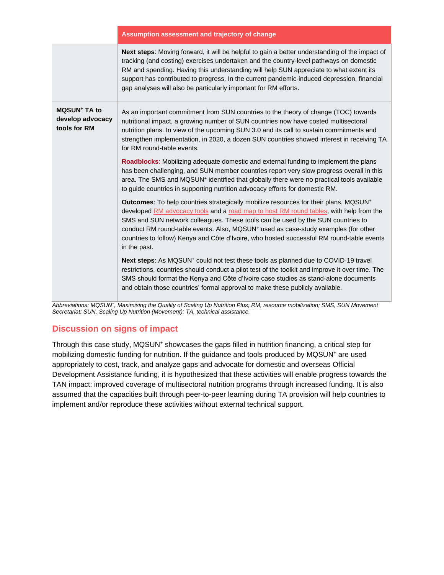|                                                                    | Assumption assessment and trajectory of change                                                                                                                                                                                                                                                                                                                                                                                                                                               |
|--------------------------------------------------------------------|----------------------------------------------------------------------------------------------------------------------------------------------------------------------------------------------------------------------------------------------------------------------------------------------------------------------------------------------------------------------------------------------------------------------------------------------------------------------------------------------|
|                                                                    | Next steps: Moving forward, it will be helpful to gain a better understanding of the impact of<br>tracking (and costing) exercises undertaken and the country-level pathways on domestic<br>RM and spending. Having this understanding will help SUN appreciate to what extent its<br>support has contributed to progress. In the current pandemic-induced depression, financial<br>gap analyses will also be particularly important for RM efforts.                                         |
| <b>MQSUN<sup>+</sup> TA to</b><br>develop advocacy<br>tools for RM | As an important commitment from SUN countries to the theory of change (TOC) towards<br>nutritional impact, a growing number of SUN countries now have costed multisectoral<br>nutrition plans. In view of the upcoming SUN 3.0 and its call to sustain commitments and<br>strengthen implementation, in 2020, a dozen SUN countries showed interest in receiving TA<br>for RM round-table events.                                                                                            |
|                                                                    | <b>Roadblocks:</b> Mobilizing adequate domestic and external funding to implement the plans<br>has been challenging, and SUN member countries report very slow progress overall in this<br>area. The SMS and MQSUN <sup>+</sup> identified that globally there were no practical tools available<br>to guide countries in supporting nutrition advocacy efforts for domestic RM.                                                                                                             |
|                                                                    | Outcomes: To help countries strategically mobilize resources for their plans, MQSUN <sup>+</sup><br>developed RM advocacy tools and a road map to host RM round tables, with help from the<br>SMS and SUN network colleagues. These tools can be used by the SUN countries to<br>conduct RM round-table events. Also, MQSUN <sup>+</sup> used as case-study examples (for other<br>countries to follow) Kenya and Côte d'Ivoire, who hosted successful RM round-table events<br>in the past. |
|                                                                    | Next steps: As MQSUN <sup>+</sup> could not test these tools as planned due to COVID-19 travel<br>restrictions, countries should conduct a pilot test of the toolkit and improve it over time. The<br>SMS should format the Kenya and Côte d'Ivoire case studies as stand-alone documents<br>and obtain those countries' formal approval to make these publicly available.                                                                                                                   |

*Abbreviations: MQSUN<sup>+</sup> , Maximising the Quality of Scaling Up Nutrition Plus; RM, resource mobilization; SMS, SUN Movement Secretariat; SUN, Scaling Up Nutrition (Movement); TA, technical assistance.* 

## **Discussion on signs of impact**

Through this case study, MQSUN<sup>+</sup> showcases the gaps filled in nutrition financing, a critical step for mobilizing domestic funding for nutrition. If the guidance and tools produced by MQSUN<sup>+</sup> are used appropriately to cost, track, and analyze gaps and advocate for domestic and overseas Official Development Assistance funding, it is hypothesized that these activities will enable progress towards the TAN impact: improved coverage of multisectoral nutrition programs through increased funding. It is also assumed that the capacities built through peer-to-peer learning during TA provision will help countries to implement and/or reproduce these activities without external technical support.